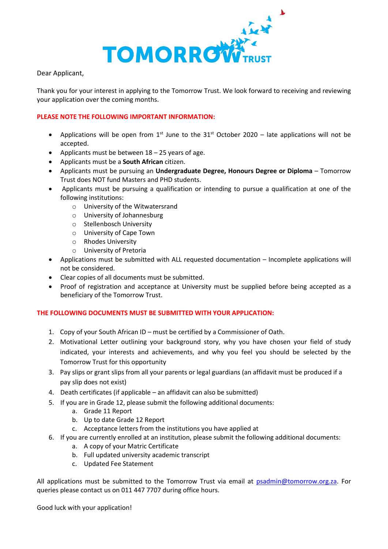

Dear Applicant,

Thank you for your interest in applying to the Tomorrow Trust. We look forward to receiving and reviewing your application over the coming months.

## **PLEASE NOTE THE FOLLOWING IMPORTANT INFORMATION:**

- Applications will be open from  $1^{st}$  June to the  $31^{st}$  October 2020 late applications will not be accepted.
- Applicants must be between  $18 25$  years of age.
- Applicants must be a **South African** citizen.
- Applicants must be pursuing an **Undergraduate Degree, Honours Degree or Diploma** Tomorrow Trust does NOT fund Masters and PHD students.
- Applicants must be pursuing a qualification or intending to pursue a qualification at one of the following institutions:
	- o University of the Witwatersrand
	- o University of Johannesburg
	- o Stellenbosch University
	- o University of Cape Town
	- o Rhodes University
	- o University of Pretoria
- Applications must be submitted with ALL requested documentation Incomplete applications will not be considered.
- Clear copies of all documents must be submitted.
- Proof of registration and acceptance at University must be supplied before being accepted as a beneficiary of the Tomorrow Trust.

## **THE FOLLOWING DOCUMENTS MUST BE SUBMITTED WITH YOUR APPLICATION:**

- 1. Copy of your South African ID must be certified by a Commissioner of Oath.
- 2. Motivational Letter outlining your background story, why you have chosen your field of study indicated, your interests and achievements, and why you feel you should be selected by the Tomorrow Trust for this opportunity
- 3. Pay slips or grant slips from all your parents or legal guardians (an affidavit must be produced if a pay slip does not exist)
- 4. Death certificates (if applicable an affidavit can also be submitted)
- 5. If you are in Grade 12, please submit the following additional documents:
	- a. Grade 11 Report
	- b. Up to date Grade 12 Report
	- c. Acceptance letters from the institutions you have applied at
- 6. If you are currently enrolled at an institution, please submit the following additional documents:
	- a. A copy of your Matric Certificate
	- b. Full updated university academic transcript
	- c. Updated Fee Statement

All applications must be submitted to the Tomorrow Trust via email at [psadmin@tomorrow.org.za.](mailto:psadmin@tomorrow.org.za) For queries please contact us on 011 447 7707 during office hours.

Good luck with your application!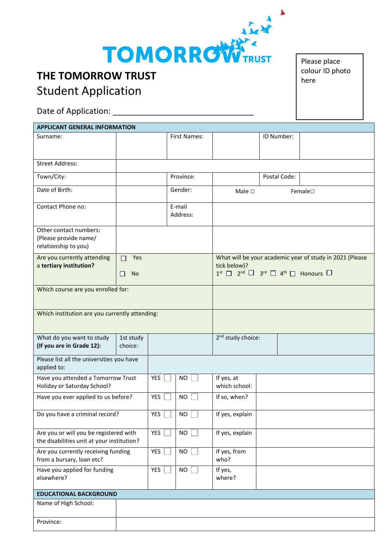

## **THE TOMORROW TRUST** Student Application

Date of Application: \_\_\_\_\_\_\_\_\_\_\_\_\_\_\_\_\_\_\_\_\_\_\_\_\_\_\_\_\_\_\_

| <b>APPLICANT GENERAL INFORMATION</b>                                                 |                            |            |                    |                                                                                                                                                               |              |  |  |  |  |
|--------------------------------------------------------------------------------------|----------------------------|------------|--------------------|---------------------------------------------------------------------------------------------------------------------------------------------------------------|--------------|--|--|--|--|
| Surname:                                                                             |                            |            | First Names:       |                                                                                                                                                               | ID Number:   |  |  |  |  |
| <b>Street Address:</b>                                                               |                            |            |                    |                                                                                                                                                               |              |  |  |  |  |
| Town/City:                                                                           |                            |            | Province:          |                                                                                                                                                               | Postal Code: |  |  |  |  |
| Date of Birth:                                                                       |                            |            | Gender:            | Female<br>Male $\Box$                                                                                                                                         |              |  |  |  |  |
| Contact Phone no:                                                                    |                            |            | E-mail<br>Address: |                                                                                                                                                               |              |  |  |  |  |
| Other contact numbers:<br>(Please provide name/<br>relationship to you)              |                            |            |                    |                                                                                                                                                               |              |  |  |  |  |
| Are you currently attending<br>a tertiary institution?                               | Yes<br>П<br><b>No</b><br>H |            |                    | What will be your academic year of study in 2021 (Please<br>tick below)?<br>$1^{st}$ $\Box$ $2^{nd}$ $\Box$<br>$3^{rd}$ $\Box$ $4^{th}$ $\Box$ Honours $\Box$ |              |  |  |  |  |
| Which course are you enrolled for:                                                   |                            |            |                    |                                                                                                                                                               |              |  |  |  |  |
| Which institution are you currently attending:                                       |                            |            |                    |                                                                                                                                                               |              |  |  |  |  |
| What do you want to study<br>(If you are in Grade 12):                               | 1st study<br>choice:       |            |                    | 2 <sup>nd</sup> study choice:                                                                                                                                 |              |  |  |  |  |
| Please list all the universities you have<br>applied to:                             |                            |            |                    |                                                                                                                                                               |              |  |  |  |  |
| Have you attended a Tomorrow Trust<br>Holiday or Saturday School?                    |                            | YES        | NO.                | If yes, at<br>which school:                                                                                                                                   |              |  |  |  |  |
| Have you ever applied to us before?                                                  |                            | YES        | <b>NO</b>          | If so, when?                                                                                                                                                  |              |  |  |  |  |
| Do you have a criminal record?                                                       |                            | <b>YES</b> | <b>NO</b>          | If yes, explain                                                                                                                                               |              |  |  |  |  |
| Are you or will you be registered with<br>the disabilities unit at your institution? |                            | YES        | <b>NO</b>          | If yes, explain                                                                                                                                               |              |  |  |  |  |
| Are you currently receiving funding<br>from a bursary, loan etc?                     |                            | YES        | <b>NO</b>          | If yes, from<br>who?                                                                                                                                          |              |  |  |  |  |
| Have you applied for funding<br>elsewhere?                                           |                            | YES        | <b>NO</b>          | If yes,<br>where?                                                                                                                                             |              |  |  |  |  |
| <b>EDUCATIONAL BACKGROUND</b>                                                        |                            |            |                    |                                                                                                                                                               |              |  |  |  |  |
| Name of High School:                                                                 |                            |            |                    |                                                                                                                                                               |              |  |  |  |  |
| Province:                                                                            |                            |            |                    |                                                                                                                                                               |              |  |  |  |  |

Please place colour ID photo here